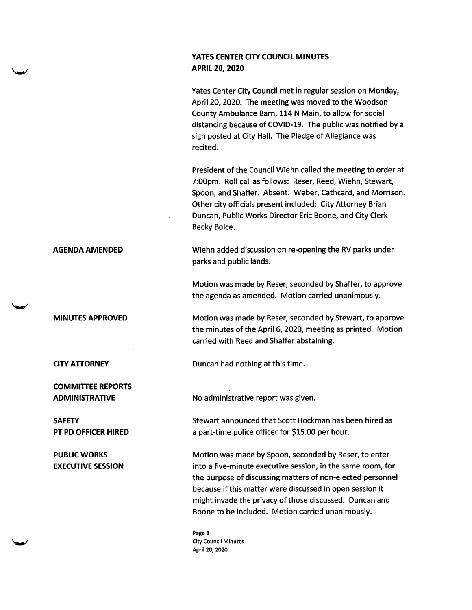## YATES CENTER CITY COUNCIL MINUTES APRIL 20, 2020

Yates Center City Council met in regular session on Monday, April 20, 2020. The meeting was moved to the Woodson County Ambulance Barn, 114 N Main, to allow for social distancing because of COVID-19. The public was notified by a sign posted at City Hall. The Pledge of Allegiance was recited.

President of the Council Wiehn called the meeting to order at 7:00pm. Roll call as follows: Reser, Reed, Wiehn, Stewart, Spoon, and Shaffer. Absent: Weber, Cathcard, and Morrison. Other city officials present included: City Attorney Brian Duncan, Public Works Director Eric Boone, and City Clerk Becky Boice.

AGENDA AMENDED Wiehn added discussion on re-opening the RV parks under parks and public lands.

> Motion was made by Reser, seconded by Shaffer, to approve the agenda as amended. Motion carried unanimously.

Motion was made by Reser, seconded by Stewart, to approve the minutes of the April 6,2020, meeting as printed. Motion carried with Reed and Shaffer abstaining.

**CITY ATTORNEY** Duncan had nothing at this time.

ADMINISTRATIVE No administrative report was given.

Stewart announced that Scott Hockman has been hired as a part-time police officer for \$15.00 per hour.

Motion was made by Spoon, seconded by Reser, to enter into a five-minute executive session, in the same room, for the purpose of discussing matters of non-elected personnel because if this matter were discussed in open session it might invade the privacy of those discussed. Duncan and Boone to be included. Motion carried unanimously.

Page 1 City Council Minutes April 20,2020

MINUTES APPROVED

COMMITTEE REPORTS

**SAFETY** PT PD OFFICER HIRED

PUBLIC WORKS EXECUTIVE SESSION

 $\sim$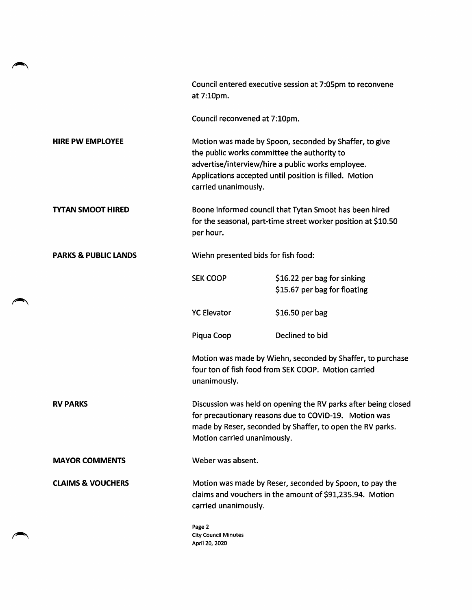|                                 | Council entered executive session at 7:05pm to reconvene<br>at 7:10pm.                                                                                                                                                                       |                                                             |
|---------------------------------|----------------------------------------------------------------------------------------------------------------------------------------------------------------------------------------------------------------------------------------------|-------------------------------------------------------------|
|                                 |                                                                                                                                                                                                                                              |                                                             |
|                                 | Council reconvened at 7:10pm.                                                                                                                                                                                                                |                                                             |
| <b>HIRE PW EMPLOYEE</b>         | Motion was made by Spoon, seconded by Shaffer, to give<br>the public works committee the authority to<br>advertise/interview/hire a public works employee.<br>Applications accepted until position is filled. Motion<br>carried unanimously. |                                                             |
| <b>TYTAN SMOOT HIRED</b>        | Boone informed council that Tytan Smoot has been hired<br>for the seasonal, part-time street worker position at \$10.50<br>per hour.                                                                                                         |                                                             |
| <b>PARKS &amp; PUBLIC LANDS</b> | Wiehn presented bids for fish food:                                                                                                                                                                                                          |                                                             |
|                                 | <b>SEK COOP</b>                                                                                                                                                                                                                              | \$16.22 per bag for sinking<br>\$15.67 per bag for floating |
|                                 | <b>YC Elevator</b>                                                                                                                                                                                                                           | \$16.50 per bag                                             |
|                                 | Piqua Coop                                                                                                                                                                                                                                   | Declined to bid                                             |
|                                 | Motion was made by Wiehn, seconded by Shaffer, to purchase<br>four ton of fish food from SEK COOP. Motion carried<br>unanimously.                                                                                                            |                                                             |
| <b>RV PARKS</b>                 | Discussion was held on opening the RV parks after being closed<br>for precautionary reasons due to COVID-19. Motion was<br>made by Reser, seconded by Shaffer, to open the RV parks.<br>Motion carried unanimously.                          |                                                             |
| <b>MAYOR COMMENTS</b>           | Weber was absent.                                                                                                                                                                                                                            |                                                             |
| <b>CLAIMS &amp; VOUCHERS</b>    | Motion was made by Reser, seconded by Spoon, to pay the<br>claims and vouchers in the amount of \$91,235.94. Motion<br>carried unanimously.                                                                                                  |                                                             |
|                                 | Page 2<br><b>City Council Minutes</b><br>April 20, 2020                                                                                                                                                                                      |                                                             |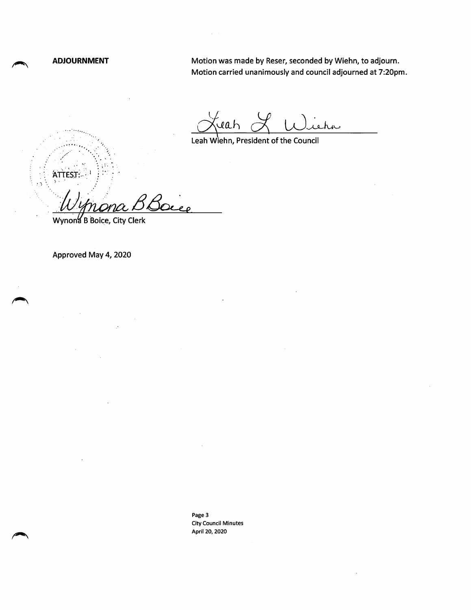$ATTEST: 1$ 

 $\cdot$  3

ADJOURNMENT Motion was made by Reser, seconded by Wiehn, to adjourn. Motion carried unanimously and council adjourned at 7:20pm.

reah .<br>iehn

Leah Wiehn, President of the Council

)<br>Ocee

Wynona B Boice, City Clerk

Approved May 4, 2020

Page 3 City Council Minutes April 20, 2020